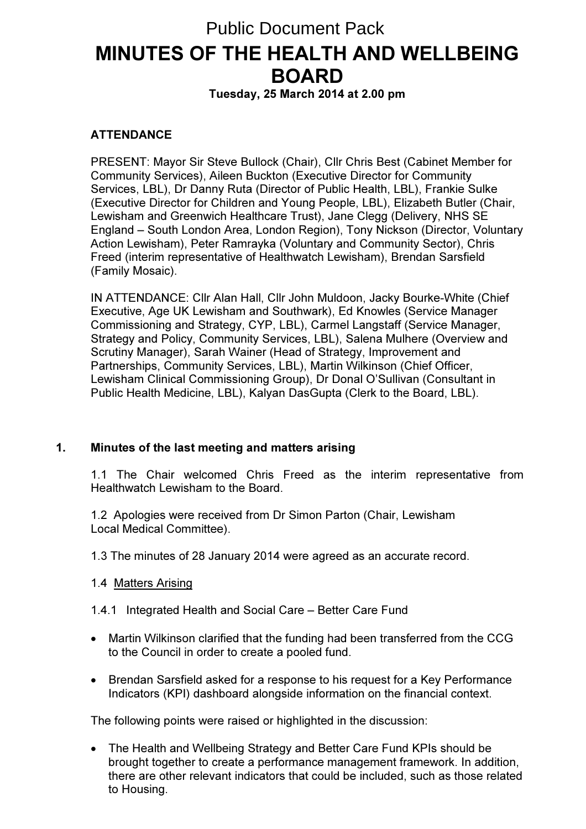# MINUTES OF THE HEALTH AND WELLBEING BOARD Public Document Pack

Tuesday, 25 March 2014 at 2.00 pm

# **ATTENDANCE**

PRESENT: Mayor Sir Steve Bullock (Chair), Cllr Chris Best (Cabinet Member for Community Services), Aileen Buckton (Executive Director for Community Services, LBL), Dr Danny Ruta (Director of Public Health, LBL), Frankie Sulke (Executive Director for Children and Young People, LBL), Elizabeth Butler (Chair, Lewisham and Greenwich Healthcare Trust), Jane Clegg (Delivery, NHS SE England – South London Area, London Region), Tony Nickson (Director, Voluntary Action Lewisham), Peter Ramrayka (Voluntary and Community Sector), Chris Freed (interim representative of Healthwatch Lewisham), Brendan Sarsfield (Family Mosaic).

IN ATTENDANCE: Cllr Alan Hall, Cllr John Muldoon, Jacky Bourke-White (Chief Executive, Age UK Lewisham and Southwark), Ed Knowles (Service Manager Commissioning and Strategy, CYP, LBL), Carmel Langstaff (Service Manager, Strategy and Policy, Community Services, LBL), Salena Mulhere (Overview and Scrutiny Manager), Sarah Wainer (Head of Strategy, Improvement and Partnerships, Community Services, LBL), Martin Wilkinson (Chief Officer, Lewisham Clinical Commissioning Group), Dr Donal O'Sullivan (Consultant in Public Health Medicine, LBL), Kalyan DasGupta (Clerk to the Board, LBL).

# 1. Minutes of the last meeting and matters arising

1.1 The Chair welcomed Chris Freed as the interim representative from Healthwatch Lewisham to the Board.

1.2 Apologies were received from Dr Simon Parton (Chair, Lewisham Local Medical Committee).

1.3 The minutes of 28 January 2014 were agreed as an accurate record.

#### 1.4 Matters Arising

1.4.1 Integrated Health and Social Care – Better Care Fund

- Martin Wilkinson clarified that the funding had been transferred from the CCG to the Council in order to create a pooled fund.
- Brendan Sarsfield asked for a response to his request for a Key Performance Indicators (KPI) dashboard alongside information on the financial context.

The following points were raised or highlighted in the discussion:

• The Health and Wellbeing Strategy and Better Care Fund KPIs should be brought together to create a performance management framework. In addition, there are other relevant indicators that could be included, such as those related to Housing.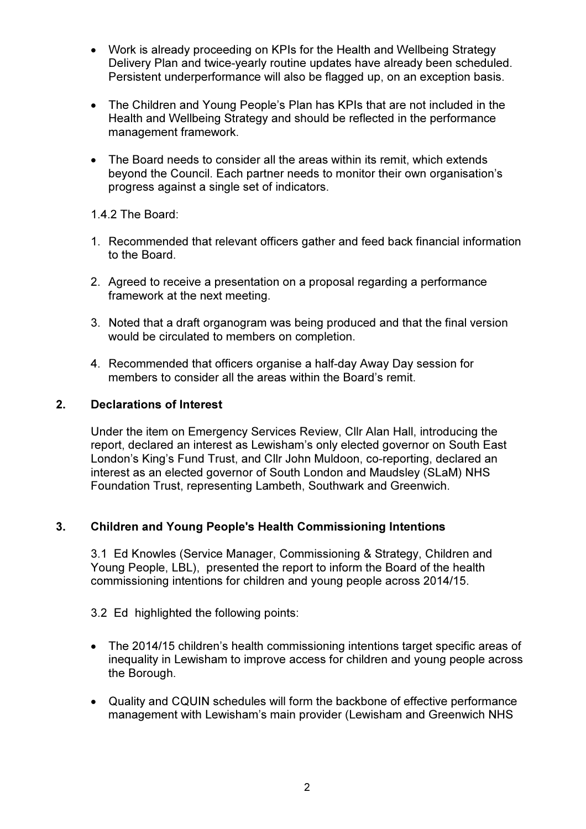- Work is already proceeding on KPIs for the Health and Wellbeing Strategy Delivery Plan and twice-yearly routine updates have already been scheduled. Persistent underperformance will also be flagged up, on an exception basis.
- The Children and Young People's Plan has KPIs that are not included in the Health and Wellbeing Strategy and should be reflected in the performance management framework.
- The Board needs to consider all the areas within its remit, which extends beyond the Council. Each partner needs to monitor their own organisation's progress against a single set of indicators.

1.4.2 The Board:

- 1. Recommended that relevant officers gather and feed back financial information to the Board.
- 2. Agreed to receive a presentation on a proposal regarding a performance framework at the next meeting.
- 3. Noted that a draft organogram was being produced and that the final version would be circulated to members on completion.
- 4. Recommended that officers organise a half-day Away Day session for members to consider all the areas within the Board's remit.

## 2. Declarations of Interest

Under the item on Emergency Services Review, Cllr Alan Hall, introducing the report, declared an interest as Lewisham's only elected governor on South East London's King's Fund Trust, and Cllr John Muldoon, co-reporting, declared an interest as an elected governor of South London and Maudsley (SLaM) NHS Foundation Trust, representing Lambeth, Southwark and Greenwich.

# 3. Children and Young People's Health Commissioning Intentions

3.1 Ed Knowles (Service Manager, Commissioning & Strategy, Children and Young People, LBL), presented the report to inform the Board of the health commissioning intentions for children and young people across 2014/15.

#### 3.2 Ed highlighted the following points:

- The 2014/15 children's health commissioning intentions target specific areas of inequality in Lewisham to improve access for children and young people across the Borough.
- Quality and CQUIN schedules will form the backbone of effective performance management with Lewisham's main provider (Lewisham and Greenwich NHS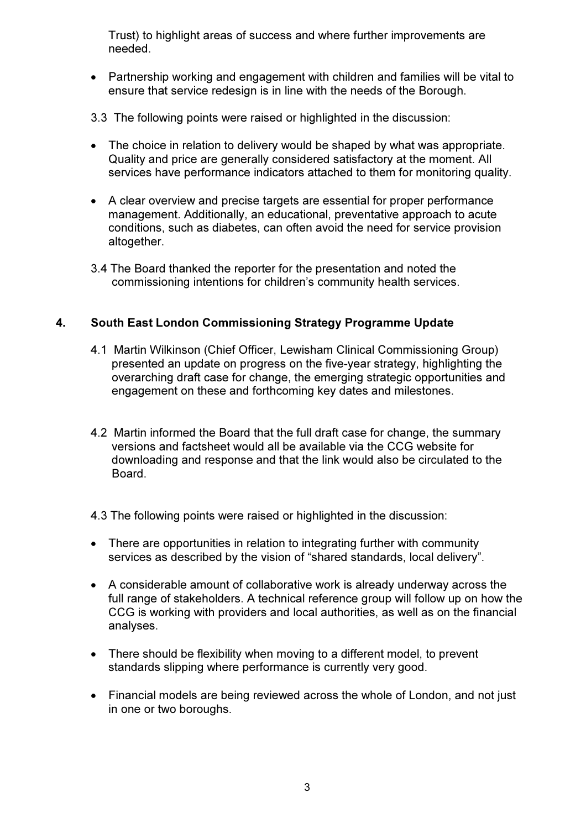Trust) to highlight areas of success and where further improvements are needed.

- Partnership working and engagement with children and families will be vital to ensure that service redesign is in line with the needs of the Borough.
- 3.3 The following points were raised or highlighted in the discussion:
- The choice in relation to delivery would be shaped by what was appropriate. Quality and price are generally considered satisfactory at the moment. All services have performance indicators attached to them for monitoring quality.
- A clear overview and precise targets are essential for proper performance management. Additionally, an educational, preventative approach to acute conditions, such as diabetes, can often avoid the need for service provision altogether.
- 3.4 The Board thanked the reporter for the presentation and noted the commissioning intentions for children's community health services.

# 4. South East London Commissioning Strategy Programme Update

- 4.1 Martin Wilkinson (Chief Officer, Lewisham Clinical Commissioning Group) presented an update on progress on the five-year strategy, highlighting the overarching draft case for change, the emerging strategic opportunities and engagement on these and forthcoming key dates and milestones.
- 4.2 Martin informed the Board that the full draft case for change, the summary versions and factsheet would all be available via the CCG website for downloading and response and that the link would also be circulated to the Board.
- 4.3 The following points were raised or highlighted in the discussion:
- There are opportunities in relation to integrating further with community services as described by the vision of "shared standards, local delivery".
- A considerable amount of collaborative work is already underway across the full range of stakeholders. A technical reference group will follow up on how the CCG is working with providers and local authorities, as well as on the financial analyses.
- There should be flexibility when moving to a different model, to prevent standards slipping where performance is currently very good.
- Financial models are being reviewed across the whole of London, and not just in one or two boroughs.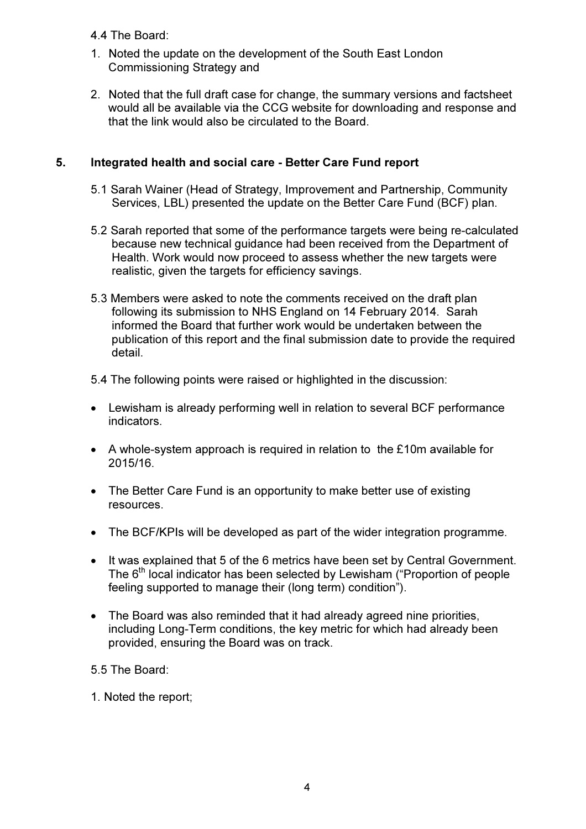4.4 The Board:

- 1. Noted the update on the development of the South East London Commissioning Strategy and
- 2. Noted that the full draft case for change, the summary versions and factsheet would all be available via the CCG website for downloading and response and that the link would also be circulated to the Board.

# 5. Integrated health and social care - Better Care Fund report

- 5.1 Sarah Wainer (Head of Strategy, Improvement and Partnership, Community Services, LBL) presented the update on the Better Care Fund (BCF) plan.
- 5.2 Sarah reported that some of the performance targets were being re-calculated because new technical guidance had been received from the Department of Health. Work would now proceed to assess whether the new targets were realistic, given the targets for efficiency savings.
- 5.3 Members were asked to note the comments received on the draft plan following its submission to NHS England on 14 February 2014. Sarah informed the Board that further work would be undertaken between the publication of this report and the final submission date to provide the required detail.

5.4 The following points were raised or highlighted in the discussion:

- Lewisham is already performing well in relation to several BCF performance indicators.
- A whole-system approach is required in relation to the £10m available for 2015/16.
- The Better Care Fund is an opportunity to make better use of existing resources.
- The BCF/KPIs will be developed as part of the wider integration programme.
- It was explained that 5 of the 6 metrics have been set by Central Government. The 6<sup>th</sup> local indicator has been selected by Lewisham ("Proportion of people feeling supported to manage their (long term) condition").
- The Board was also reminded that it had already agreed nine priorities, including Long-Term conditions, the key metric for which had already been provided, ensuring the Board was on track.

5.5 The Board:

1. Noted the report;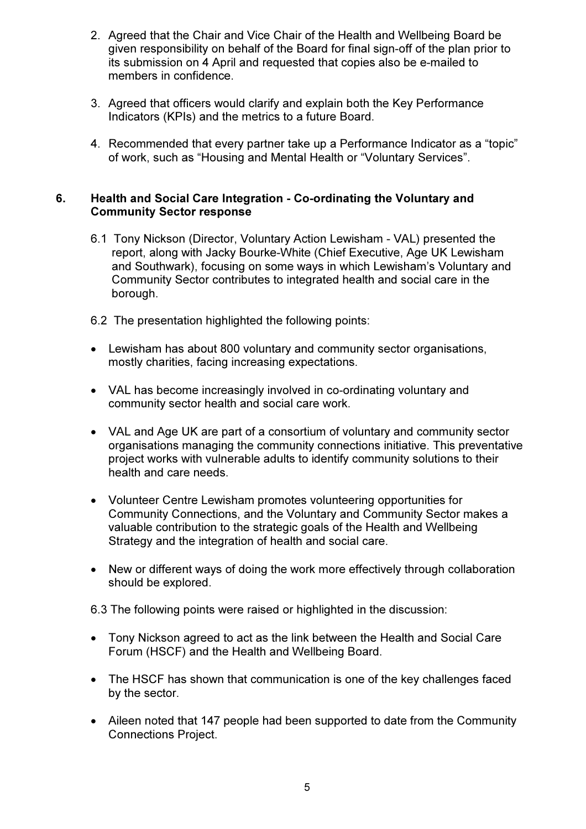- 2. Agreed that the Chair and Vice Chair of the Health and Wellbeing Board be given responsibility on behalf of the Board for final sign-off of the plan prior to its submission on 4 April and requested that copies also be e-mailed to members in confidence.
- 3. Agreed that officers would clarify and explain both the Key Performance Indicators (KPIs) and the metrics to a future Board.
- 4. Recommended that every partner take up a Performance Indicator as a "topic" of work, such as "Housing and Mental Health or "Voluntary Services".

#### 6. Health and Social Care Integration - Co-ordinating the Voluntary and Community Sector response

- 6.1 Tony Nickson (Director, Voluntary Action Lewisham VAL) presented the report, along with Jacky Bourke-White (Chief Executive, Age UK Lewisham and Southwark), focusing on some ways in which Lewisham's Voluntary and Community Sector contributes to integrated health and social care in the borough.
- 6.2 The presentation highlighted the following points:
- Lewisham has about 800 voluntary and community sector organisations, mostly charities, facing increasing expectations.
- VAL has become increasingly involved in co-ordinating voluntary and community sector health and social care work.
- VAL and Age UK are part of a consortium of voluntary and community sector organisations managing the community connections initiative. This preventative project works with vulnerable adults to identify community solutions to their health and care needs.
- Volunteer Centre Lewisham promotes volunteering opportunities for Community Connections, and the Voluntary and Community Sector makes a valuable contribution to the strategic goals of the Health and Wellbeing Strategy and the integration of health and social care.
- New or different ways of doing the work more effectively through collaboration should be explored.

6.3 The following points were raised or highlighted in the discussion:

- Tony Nickson agreed to act as the link between the Health and Social Care Forum (HSCF) and the Health and Wellbeing Board.
- The HSCF has shown that communication is one of the key challenges faced by the sector.
- Aileen noted that 147 people had been supported to date from the Community Connections Project.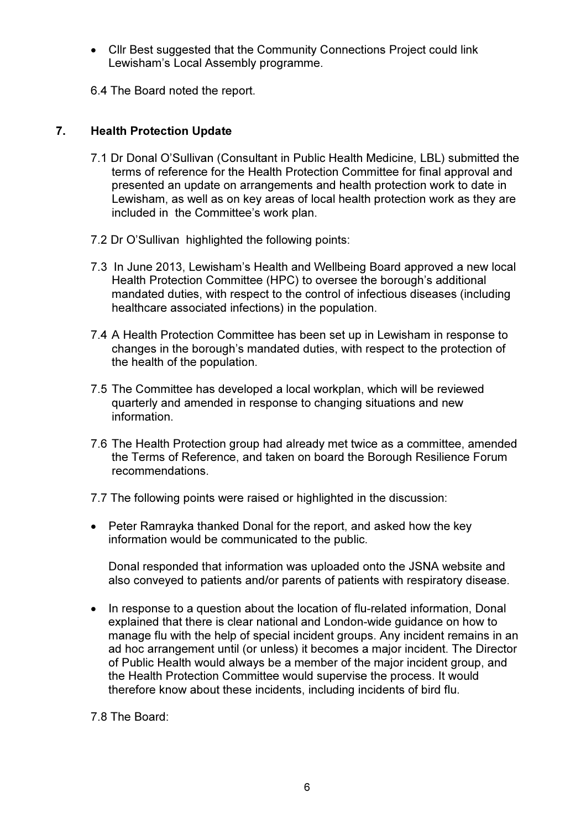• Cllr Best suggested that the Community Connections Project could link Lewisham's Local Assembly programme.

6.4 The Board noted the report.

## 7. Health Protection Update

- 7.1 Dr Donal O'Sullivan (Consultant in Public Health Medicine, LBL) submitted the terms of reference for the Health Protection Committee for final approval and presented an update on arrangements and health protection work to date in Lewisham, as well as on key areas of local health protection work as they are included in the Committee's work plan.
- 7.2 Dr O'Sullivan highlighted the following points:
- 7.3 In June 2013, Lewisham's Health and Wellbeing Board approved a new local Health Protection Committee (HPC) to oversee the borough's additional mandated duties, with respect to the control of infectious diseases (including healthcare associated infections) in the population.
- 7.4 A Health Protection Committee has been set up in Lewisham in response to changes in the borough's mandated duties, with respect to the protection of the health of the population.
- 7.5 The Committee has developed a local workplan, which will be reviewed quarterly and amended in response to changing situations and new information.
- 7.6 The Health Protection group had already met twice as a committee, amended the Terms of Reference, and taken on board the Borough Resilience Forum recommendations.
- 7.7 The following points were raised or highlighted in the discussion:
- Peter Ramrayka thanked Donal for the report, and asked how the key information would be communicated to the public.

Donal responded that information was uploaded onto the JSNA website and also conveyed to patients and/or parents of patients with respiratory disease.

• In response to a question about the location of flu-related information, Donal explained that there is clear national and London-wide guidance on how to manage flu with the help of special incident groups. Any incident remains in an ad hoc arrangement until (or unless) it becomes a major incident. The Director of Public Health would always be a member of the major incident group, and the Health Protection Committee would supervise the process. It would therefore know about these incidents, including incidents of bird flu.

7.8 The Board: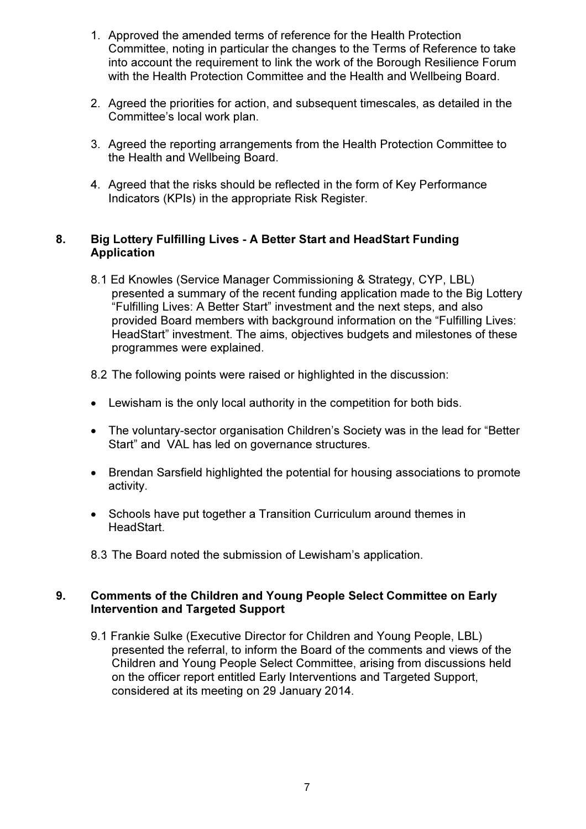- 1. Approved the amended terms of reference for the Health Protection Committee, noting in particular the changes to the Terms of Reference to take into account the requirement to link the work of the Borough Resilience Forum with the Health Protection Committee and the Health and Wellbeing Board.
- 2. Agreed the priorities for action, and subsequent timescales, as detailed in the Committee's local work plan.
- 3. Agreed the reporting arrangements from the Health Protection Committee to the Health and Wellbeing Board.
- 4. Agreed that the risks should be reflected in the form of Key Performance Indicators (KPIs) in the appropriate Risk Register.

## 8. Big Lottery Fulfilling Lives - A Better Start and HeadStart Funding Application

- 8.1 Ed Knowles (Service Manager Commissioning & Strategy, CYP, LBL) presented a summary of the recent funding application made to the Big Lottery "Fulfilling Lives: A Better Start" investment and the next steps, and also provided Board members with background information on the "Fulfilling Lives: HeadStart" investment. The aims, objectives budgets and milestones of these programmes were explained.
- 8.2 The following points were raised or highlighted in the discussion:
- Lewisham is the only local authority in the competition for both bids.
- The voluntary-sector organisation Children's Society was in the lead for "Better Start" and VAL has led on governance structures.
- Brendan Sarsfield highlighted the potential for housing associations to promote activity.
- Schools have put together a Transition Curriculum around themes in HeadStart.
- 8.3 The Board noted the submission of Lewisham's application.

## 9. Comments of the Children and Young People Select Committee on Early Intervention and Targeted Support

9.1 Frankie Sulke (Executive Director for Children and Young People, LBL) presented the referral, to inform the Board of the comments and views of the Children and Young People Select Committee, arising from discussions held on the officer report entitled Early Interventions and Targeted Support, considered at its meeting on 29 January 2014.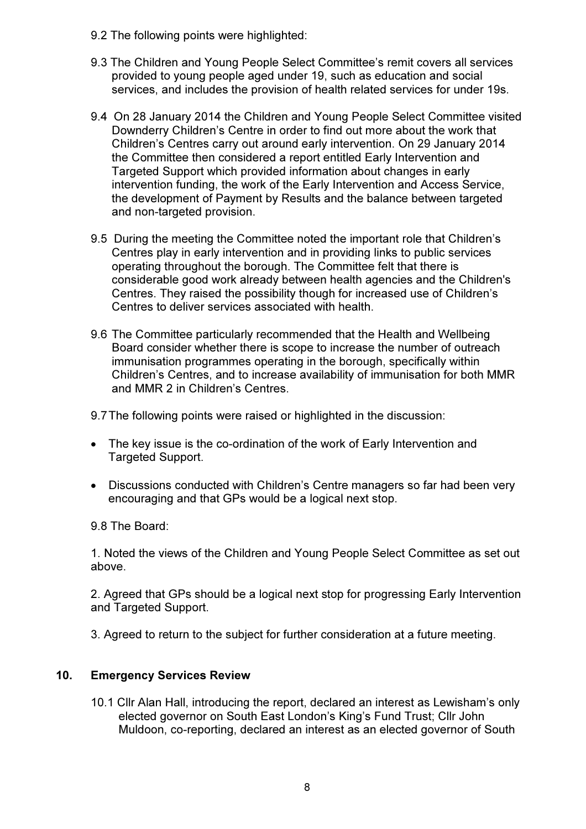- 9.2 The following points were highlighted:
- 9.3 The Children and Young People Select Committee's remit covers all services provided to young people aged under 19, such as education and social services, and includes the provision of health related services for under 19s.
- 9.4 On 28 January 2014 the Children and Young People Select Committee visited Downderry Children's Centre in order to find out more about the work that Children's Centres carry out around early intervention. On 29 January 2014 the Committee then considered a report entitled Early Intervention and Targeted Support which provided information about changes in early intervention funding, the work of the Early Intervention and Access Service, the development of Payment by Results and the balance between targeted and non-targeted provision.
- 9.5 During the meeting the Committee noted the important role that Children's Centres play in early intervention and in providing links to public services operating throughout the borough. The Committee felt that there is considerable good work already between health agencies and the Children's Centres. They raised the possibility though for increased use of Children's Centres to deliver services associated with health.
- 9.6 The Committee particularly recommended that the Health and Wellbeing Board consider whether there is scope to increase the number of outreach immunisation programmes operating in the borough, specifically within Children's Centres, and to increase availability of immunisation for both MMR and MMR 2 in Children's Centres.

9.7 The following points were raised or highlighted in the discussion:

- The key issue is the co-ordination of the work of Early Intervention and Targeted Support.
- Discussions conducted with Children's Centre managers so far had been very encouraging and that GPs would be a logical next stop.

9.8 The Board:

1. Noted the views of the Children and Young People Select Committee as set out above.

2. Agreed that GPs should be a logical next stop for progressing Early Intervention and Targeted Support.

3. Agreed to return to the subject for further consideration at a future meeting.

#### 10. Emergency Services Review

10.1 Cllr Alan Hall, introducing the report, declared an interest as Lewisham's only elected governor on South East London's King's Fund Trust; Cllr John Muldoon, co-reporting, declared an interest as an elected governor of South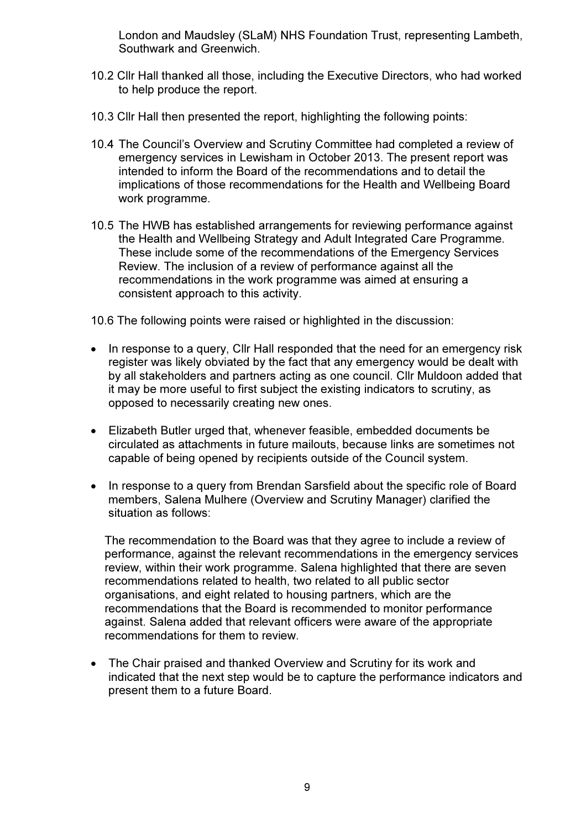London and Maudsley (SLaM) NHS Foundation Trust, representing Lambeth, Southwark and Greenwich.

- 10.2 Cllr Hall thanked all those, including the Executive Directors, who had worked to help produce the report.
- 10.3 Cllr Hall then presented the report, highlighting the following points:
- 10.4 The Council's Overview and Scrutiny Committee had completed a review of emergency services in Lewisham in October 2013. The present report was intended to inform the Board of the recommendations and to detail the implications of those recommendations for the Health and Wellbeing Board work programme.
- 10.5 The HWB has established arrangements for reviewing performance against the Health and Wellbeing Strategy and Adult Integrated Care Programme. These include some of the recommendations of the Emergency Services Review. The inclusion of a review of performance against all the recommendations in the work programme was aimed at ensuring a consistent approach to this activity.
- 10.6 The following points were raised or highlighted in the discussion:
- In response to a query, Cllr Hall responded that the need for an emergency risk register was likely obviated by the fact that any emergency would be dealt with by all stakeholders and partners acting as one council. Cllr Muldoon added that it may be more useful to first subject the existing indicators to scrutiny, as opposed to necessarily creating new ones.
- Elizabeth Butler urged that, whenever feasible, embedded documents be circulated as attachments in future mailouts, because links are sometimes not capable of being opened by recipients outside of the Council system.
- In response to a query from Brendan Sarsfield about the specific role of Board members, Salena Mulhere (Overview and Scrutiny Manager) clarified the situation as follows:

The recommendation to the Board was that they agree to include a review of performance, against the relevant recommendations in the emergency services review, within their work programme. Salena highlighted that there are seven recommendations related to health, two related to all public sector organisations, and eight related to housing partners, which are the recommendations that the Board is recommended to monitor performance against. Salena added that relevant officers were aware of the appropriate recommendations for them to review.

• The Chair praised and thanked Overview and Scrutiny for its work and indicated that the next step would be to capture the performance indicators and present them to a future Board.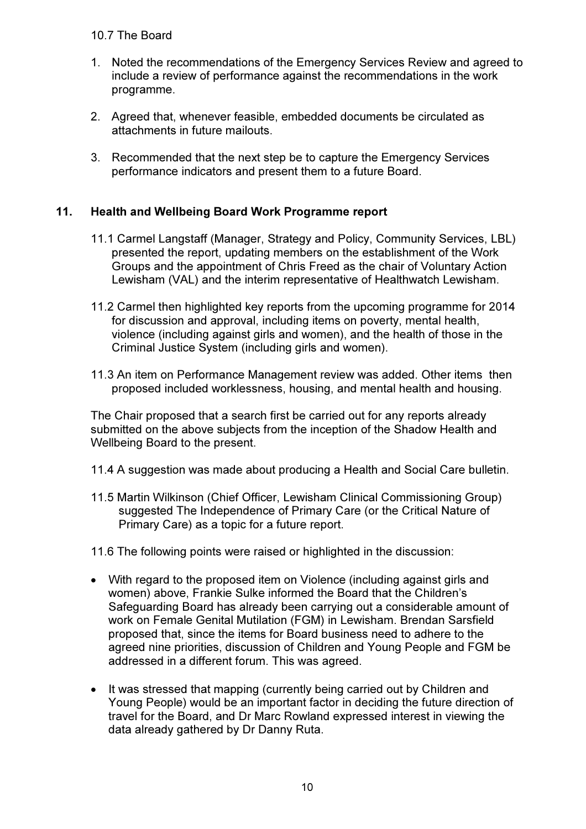#### 10.7 The Board

- 1. Noted the recommendations of the Emergency Services Review and agreed to include a review of performance against the recommendations in the work programme.
- 2. Agreed that, whenever feasible, embedded documents be circulated as attachments in future mailouts.
- 3. Recommended that the next step be to capture the Emergency Services performance indicators and present them to a future Board.

# 11. Health and Wellbeing Board Work Programme report

- 11.1 Carmel Langstaff (Manager, Strategy and Policy, Community Services, LBL) presented the report, updating members on the establishment of the Work Groups and the appointment of Chris Freed as the chair of Voluntary Action Lewisham (VAL) and the interim representative of Healthwatch Lewisham.
- 11.2 Carmel then highlighted key reports from the upcoming programme for 2014 for discussion and approval, including items on poverty, mental health, violence (including against girls and women), and the health of those in the Criminal Justice System (including girls and women).
- 11.3 An item on Performance Management review was added. Other items then proposed included worklessness, housing, and mental health and housing.

The Chair proposed that a search first be carried out for any reports already submitted on the above subjects from the inception of the Shadow Health and Wellbeing Board to the present.

- 11.4 A suggestion was made about producing a Health and Social Care bulletin.
- 11.5 Martin Wilkinson (Chief Officer, Lewisham Clinical Commissioning Group) suggested The Independence of Primary Care (or the Critical Nature of Primary Care) as a topic for a future report.
- 11.6 The following points were raised or highlighted in the discussion:
- With regard to the proposed item on Violence (including against girls and women) above, Frankie Sulke informed the Board that the Children's Safeguarding Board has already been carrying out a considerable amount of work on Female Genital Mutilation (FGM) in Lewisham. Brendan Sarsfield proposed that, since the items for Board business need to adhere to the agreed nine priorities, discussion of Children and Young People and FGM be addressed in a different forum. This was agreed.
- It was stressed that mapping (currently being carried out by Children and Young People) would be an important factor in deciding the future direction of travel for the Board, and Dr Marc Rowland expressed interest in viewing the data already gathered by Dr Danny Ruta.